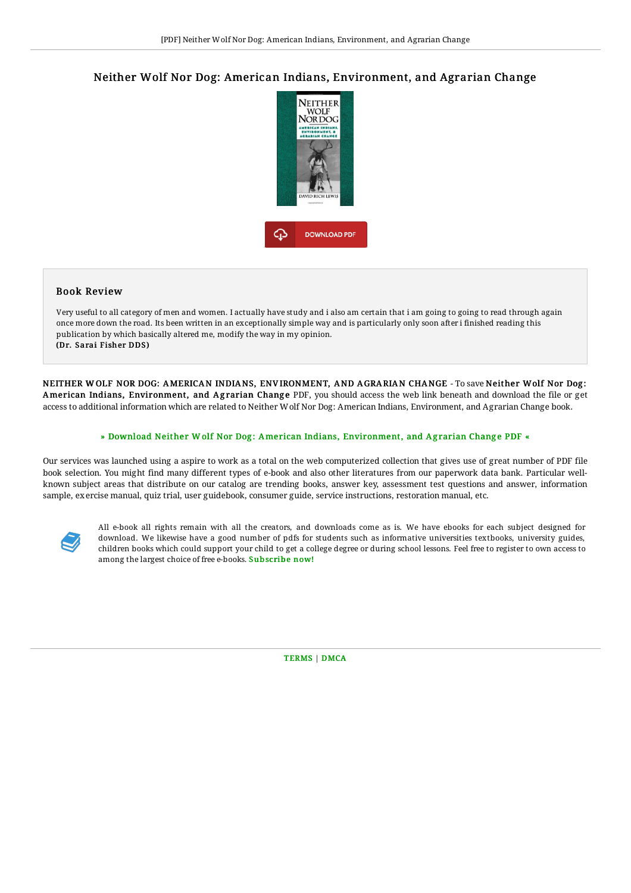## Neither Wolf Nor Dog: American Indians, Environment, and Agrarian Change



## Book Review

Very useful to all category of men and women. I actually have study and i also am certain that i am going to going to read through again once more down the road. Its been written in an exceptionally simple way and is particularly only soon after i finished reading this publication by which basically altered me, modify the way in my opinion. (Dr. Sarai Fisher DDS)

NEITHER W OLF NOR DOG: AMERICAN INDIANS, ENV IRONMENT, AND A GRARIAN CHANGE - To save Neither Wolf Nor Dog : American Indians, Environment, and Agrarian Change PDF, you should access the web link beneath and download the file or get access to additional information which are related to Neither Wolf Nor Dog: American Indians, Environment, and Agrarian Change book.

## » Download Neither W olf Nor Dog: American Indians, [Environment,](http://www.bookdirs.com/neither-wolf-nor-dog-american-indians-environmen.html) and Agrarian Change PDF «

Our services was launched using a aspire to work as a total on the web computerized collection that gives use of great number of PDF file book selection. You might find many different types of e-book and also other literatures from our paperwork data bank. Particular wellknown subject areas that distribute on our catalog are trending books, answer key, assessment test questions and answer, information sample, exercise manual, quiz trial, user guidebook, consumer guide, service instructions, restoration manual, etc.



All e-book all rights remain with all the creators, and downloads come as is. We have ebooks for each subject designed for download. We likewise have a good number of pdfs for students such as informative universities textbooks, university guides, children books which could support your child to get a college degree or during school lessons. Feel free to register to own access to among the largest choice of free e-books. [Subscribe](http://www.bookdirs.com/neither-wolf-nor-dog-american-indians-environmen.html) now!